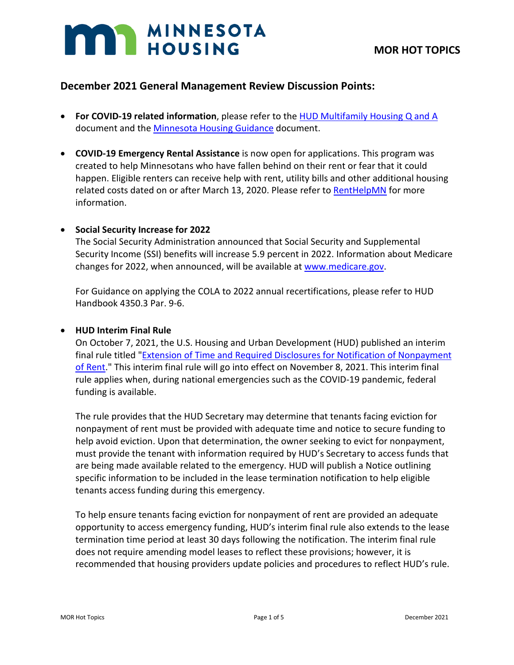# **MAN MINNESOTA**

## **December 2021 General Management Review Discussion Points:**

- **For COVID-19 related information**, please refer to the [HUD Multifamily Housing Q and A](https://www.hud.gov/sites/dfiles/Housing/documents/HUD_Multifamily_Corona_QA_FINAL.pdf) document and th[e Minnesota Housing Guidance](https://www.mnhousing.gov/get/MHFA_238349) document.
- **COVID-19 Emergency Rental Assistance** is now open for applications. This program was created to help Minnesotans who have fallen behind on their rent or fear that it could happen. Eligible renters can receive help with rent, utility bills and other additional housing related costs dated on or after March 13, 2020. Please refer to [RentHelpMN](https://www.renthelpmn.org/) for more information.

#### • **Social Security Increase for 2022**

The Social Security Administration announced that Social Security and Supplemental Security Income (SSI) benefits will increase 5.9 percent in 2022. Information about Medicare changes for 2022, when announced, will be available at [www.medicare.gov.](http://www.medicare.gov/)

For Guidance on applying the COLA to 2022 annual recertifications, please refer to HUD Handbook 4350.3 Par. 9-6.

#### • **HUD Interim Final Rule**

On October 7, 2021, the U.S. Housing and Urban Development (HUD) published an interim final rule titled "Extension of Time and Required Disclosures for Notification of Nonpayment [of Rent.](https://lnks.gd/l/eyJhbGciOiJIUzI1NiJ9.eyJidWxsZXRpbl9saW5rX2lkIjoxMDIsInVyaSI6ImJwMjpjbGljayIsImJ1bGxldGluX2lkIjoiMjAyMTEwMjEuNDc3MDE2MjEiLCJ1cmwiOiJodHRwczovL3d3dy5mZWRlcmFscmVnaXN0ZXIuZ292L2RvY3VtZW50cy8yMDIxLzEwLzA3LzIwMjEtMjE5NjAvZXh0ZW5zaW9uLW9mLXRpbWUtYW5kLXJlcXVpcmVkLWRpc2Nsb3N1cmVzLWZvci1ub3RpZmljYXRpb24tb2Ytbm9ucGF5bWVudC1vZi1yZW50P3ZhcmlhdGlvbj1BJl9reD1ZQ1VWRm5sU3g5c24wUk1KQ0JXQ002ZkxlVThhOGhkaWN2Sm1pTGU2eUw3QUZfM3pHWHBXZktXWXd5MzQxYW1hLlFOempnOCJ9.owu0ph5opGL-PDWLcrKAn9ePHUnbxqAjH2qwGvvPA6I/s/1823750487/br/114396819458-l)" This interim final rule will go into effect on November 8, 2021. This interim final rule applies when, during national emergencies such as the COVID-19 pandemic, federal funding is available.

The rule provides that the HUD Secretary may determine that tenants facing eviction for nonpayment of rent must be provided with adequate time and notice to secure funding to help avoid eviction. Upon that determination, the owner seeking to evict for nonpayment, must provide the tenant with information required by HUD's Secretary to access funds that are being made available related to the emergency. HUD will publish a Notice outlining specific information to be included in the lease termination notification to help eligible tenants access funding during this emergency.

To help ensure tenants facing eviction for nonpayment of rent are provided an adequate opportunity to access emergency funding, HUD's interim final rule also extends to the lease termination time period at least 30 days following the notification. The interim final rule does not require amending model leases to reflect these provisions; however, it is recommended that housing providers update policies and procedures to reflect HUD's rule.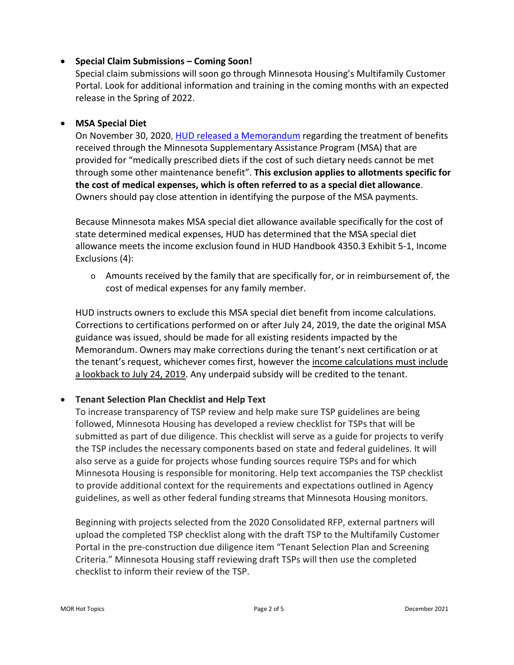#### • **Special Claim Submissions – Coming Soon!**

Special claim submissions will soon go through Minnesota Housing's Multifamily Customer Portal. Look for additional information and training in the coming months with an expected release in the Spring of 2022.

#### • **MSA Special Diet**

On November 30, 2020, [HUD released a Memorandum](https://www.mnhousing.gov/get/MHFA_247748) regarding the treatment of benefits received through the Minnesota Supplementary Assistance Program (MSA) that are provided for "medically prescribed diets if the cost of such dietary needs cannot be met through some other maintenance benefit". **This exclusion applies to allotments specific for the cost of medical expenses, which is often referred to as a special diet allowance**. Owners should pay close attention in identifying the purpose of the MSA payments.

Because Minnesota makes MSA special diet allowance available specifically for the cost of state determined medical expenses, HUD has determined that the MSA special diet allowance meets the income exclusion found in HUD Handbook 4350.3 Exhibit 5-1, Income Exclusions (4):

 $\circ$  Amounts received by the family that are specifically for, or in reimbursement of, the cost of medical expenses for any family member.

HUD instructs owners to exclude this MSA special diet benefit from income calculations. Corrections to certifications performed on or after July 24, 2019, the date the original MSA guidance was issued, should be made for all existing residents impacted by the Memorandum. Owners may make corrections during the tenant's next certification or at the tenant's request, whichever comes first, however the income calculations must include a lookback to July 24, 2019. Any underpaid subsidy will be credited to the tenant.

### • **Tenant Selection Plan Checklist and Help Text**

To increase transparency of TSP review and help make sure TSP guidelines are being followed, Minnesota Housing has developed a review checklist for TSPs that will be submitted as part of due diligence. This checklist will serve as a guide for projects to verify the TSP includes the necessary components based on state and federal guidelines. It will also serve as a guide for projects whose funding sources require TSPs and for which Minnesota Housing is responsible for monitoring. Help text accompanies the TSP checklist to provide additional context for the requirements and expectations outlined in Agency guidelines, as well as other federal funding streams that Minnesota Housing monitors.

Beginning with projects selected from the 2020 Consolidated RFP, external partners will upload the completed TSP checklist along with the draft TSP to the Multifamily Customer Portal in the pre-construction due diligence item "Tenant Selection Plan and Screening Criteria." Minnesota Housing staff reviewing draft TSPs will then use the completed checklist to inform their review of the TSP.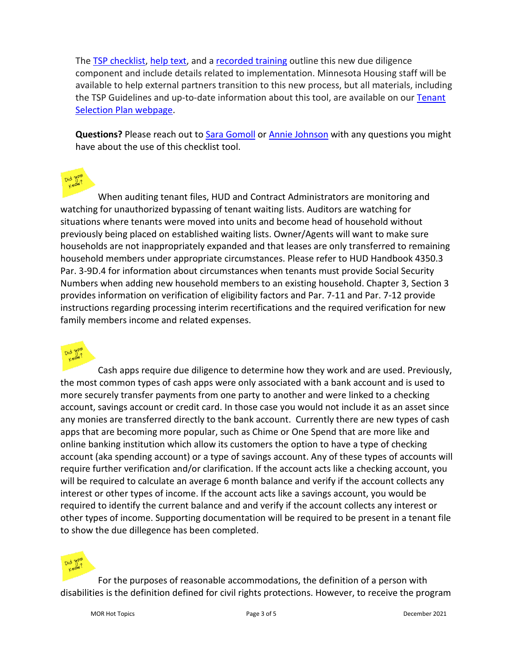The [TSP checklist,](https://www.mnhousing.gov/download/MHFA_249354) [help text,](https://www.mnhousing.gov/get/MHFA_249355) and a [recorded training](https://www.youtube.com/watch?v=MIV-FLE8zJE&feature=youtu.be) outline this new due diligence component and include details related to implementation. Minnesota Housing staff will be available to help external partners transition to this new process, but all materials, including the TSP Guidelines and up-to-date information about this tool, are available on ou[r Tenant](https://www.mnhousing.gov/sites/multifamily/tenantselectionplan)  [Selection Plan webpage.](https://www.mnhousing.gov/sites/multifamily/tenantselectionplan)

**Questions?** Please reach out to [Sara Gomoll](mailto:sara.gomoll@state.mn.us) or [Annie Johnson](mailto:annie.johnson@state.mn.us) with any questions you might have about the use of this checklist tool.

When auditing tenant files, HUD and Contract Administrators are monitoring and watching for unauthorized bypassing of tenant waiting lists. Auditors are watching for situations where tenants were moved into units and become head of household without previously being placed on established waiting lists. Owner/Agents will want to make sure households are not inappropriately expanded and that leases are only transferred to remaining household members under appropriate circumstances. Please refer to HUD Handbook 4350.3 Par. 3-9D.4 for information about circumstances when tenants must provide Social Security Numbers when adding new household members to an existing household. Chapter 3, Section 3 provides information on verification of eligibility factors and Par. 7-11 and Par. 7-12 provide instructions regarding processing interim recertifications and the required verification for new family members income and related expenses.



Cash apps require due diligence to determine how they work and are used. Previously, the most common types of cash apps were only associated with a bank account and is used to more securely transfer payments from one party to another and were linked to a checking account, savings account or credit card. In those case you would not include it as an asset since any monies are transferred directly to the bank account. Currently there are new types of cash apps that are becoming more popular, such as Chime or One Spend that are more like and online banking institution which allow its customers the option to have a type of checking account (aka spending account) or a type of savings account. Any of these types of accounts will require further verification and/or clarification. If the account acts like a checking account, you will be required to calculate an average 6 month balance and verify if the account collects any interest or other types of income. If the account acts like a savings account, you would be required to identify the current balance and and verify if the account collects any interest or other types of income. Supporting documentation will be required to be present in a tenant file to show the due dillegence has been completed.



For the purposes of reasonable accommodations, the definition of a person with disabilities is the definition defined for civil rights protections. However, to receive the program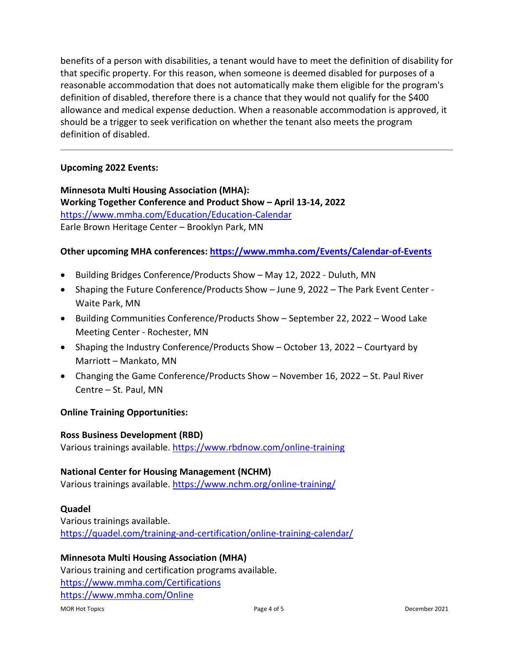benefits of a person with disabilities, a tenant would have to meet the definition of disability for that specific property. For this reason, when someone is deemed disabled for purposes of a reasonable accommodation that does not automatically make them eligible for the program's definition of disabled, therefore there is a chance that they would not qualify for the \$400 allowance and medical expense deduction. When a reasonable accommodation is approved, it should be a trigger to seek verification on whether the tenant also meets the program definition of disabled.

#### **Upcoming 2022 Events:**

**Minnesota Multi Housing Association (MHA): Working Together Conference and Product Show – April 13-14, 2022**  <https://www.mmha.com/Education/Education-Calendar> Earle Brown Heritage Center – Brooklyn Park, MN

#### **Other upcoming MHA conferences:<https://www.mmha.com/Events/Calendar-of-Events>**

- Building Bridges Conference/Products Show May 12, 2022 Duluth, MN
- Shaping the Future Conference/Products Show June 9, 2022 The Park Event Center Waite Park, MN
- Building Communities Conference/Products Show September 22, 2022 Wood Lake Meeting Center - Rochester, MN
- Shaping the Industry Conference/Products Show October 13, 2022 Courtyard by Marriott – Mankato, MN
- Changing the Game Conference/Products Show November 16, 2022 St. Paul River Centre – St. Paul, MN

#### **Online Training Opportunities:**

#### **Ross Business Development (RBD)**

Various trainings available. [https://www.rbdnow.com/online-training](https://gcc01.safelinks.protection.outlook.com/?url=https%3A%2F%2Fwww.rbdnow.com%2Fonline-training&data=04%7C01%7Ccassie.gordon%40state.mn.us%7Ca1d23e88e4044885d8cf08d897b0a91a%7Ceb14b04624c445198f26b89c2159828c%7C0%7C0%7C637426132293808894%7CUnknown%7CTWFpbGZsb3d8eyJWIjoiMC4wLjAwMDAiLCJQIjoiV2luMzIiLCJBTiI6Ik1haWwiLCJXVCI6Mn0%3D%7C1000&sdata=S2Y3R2IyQXImxCFIMTrKi%2B0YlofrGGhe4WS9Q3SHo%2Bo%3D&reserved=0)

#### **National Center for Housing Management (NCHM)**

Various trainings available. [https://www.nchm.org/online-training/](https://gcc01.safelinks.protection.outlook.com/?url=https%3A%2F%2Fwww.nchm.org%2Fonline-training%2F&data=04%7C01%7Ccassie.gordon%40state.mn.us%7Ca1d23e88e4044885d8cf08d897b0a91a%7Ceb14b04624c445198f26b89c2159828c%7C0%7C0%7C637426132293808894%7CUnknown%7CTWFpbGZsb3d8eyJWIjoiMC4wLjAwMDAiLCJQIjoiV2luMzIiLCJBTiI6Ik1haWwiLCJXVCI6Mn0%3D%7C1000&sdata=r6XmeeKdnqZAuJy1qP4FPG2jm2kB44NuDnj4WMGXjNI%3D&reserved=0)

#### **Quadel**

Various trainings available. [https://quadel.com/training-and-certification/online-training-calendar/](https://gcc01.safelinks.protection.outlook.com/?url=https%3A%2F%2Fquadel.com%2Ftraining-and-certification%2Fonline-training-calendar%2F&data=04%7C01%7Ccassie.gordon%40state.mn.us%7Ca1d23e88e4044885d8cf08d897b0a91a%7Ceb14b04624c445198f26b89c2159828c%7C0%7C0%7C637426132293808894%7CUnknown%7CTWFpbGZsb3d8eyJWIjoiMC4wLjAwMDAiLCJQIjoiV2luMzIiLCJBTiI6Ik1haWwiLCJXVCI6Mn0%3D%7C1000&sdata=2B232%2FmuYen9ENUIVNKx4bHrX7CK%2B9IwyJxQQJgtvp4%3D&reserved=0)

### **Minnesota Multi Housing Association (MHA)**

Various training and certification programs available. <https://www.mmha.com/Certifications> <https://www.mmha.com/Online>

#### MOR Hot Topics **Example 2021** Page 4 of 5 **Page 4 of 5** December 2021